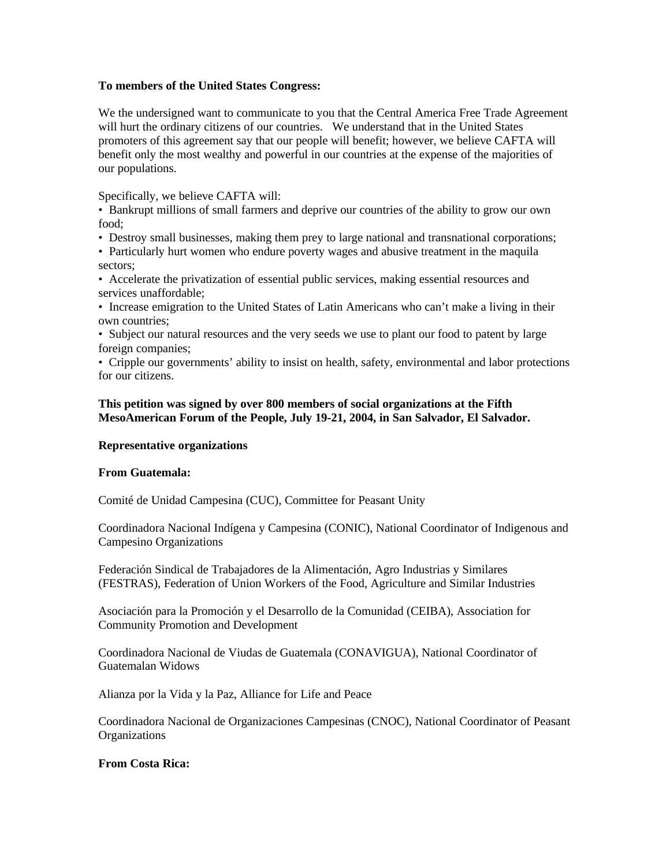#### **To members of the United States Congress:**

We the undersigned want to communicate to you that the Central America Free Trade Agreement will hurt the ordinary citizens of our countries. We understand that in the United States promoters of this agreement say that our people will benefit; however, we believe CAFTA will benefit only the most wealthy and powerful in our countries at the expense of the majorities of our populations.

Specifically, we believe CAFTA will:

• Bankrupt millions of small farmers and deprive our countries of the ability to grow our own food;

• Destroy small businesses, making them prey to large national and transnational corporations;

• Particularly hurt women who endure poverty wages and abusive treatment in the maquila sectors;

• Accelerate the privatization of essential public services, making essential resources and services unaffordable;

• Increase emigration to the United States of Latin Americans who can't make a living in their own countries;

• Subject our natural resources and the very seeds we use to plant our food to patent by large foreign companies;

• Cripple our governments' ability to insist on health, safety, environmental and labor protections for our citizens.

# **This petition was signed by over 800 members of social organizations at the Fifth MesoAmerican Forum of the People, July 19-21, 2004, in San Salvador, El Salvador.**

## **Representative organizations**

#### **From Guatemala:**

Comité de Unidad Campesina (CUC), Committee for Peasant Unity

Coordinadora Nacional Indígena y Campesina (CONIC), National Coordinator of Indigenous and Campesino Organizations

Federación Sindical de Trabajadores de la Alimentación, Agro Industrias y Similares (FESTRAS), Federation of Union Workers of the Food, Agriculture and Similar Industries

Asociación para la Promoción y el Desarrollo de la Comunidad (CEIBA), Association for Community Promotion and Development

Coordinadora Nacional de Viudas de Guatemala (CONAVIGUA), National Coordinator of Guatemalan Widows

Alianza por la Vida y la Paz, Alliance for Life and Peace

Coordinadora Nacional de Organizaciones Campesinas (CNOC), National Coordinator of Peasant **Organizations** 

## **From Costa Rica:**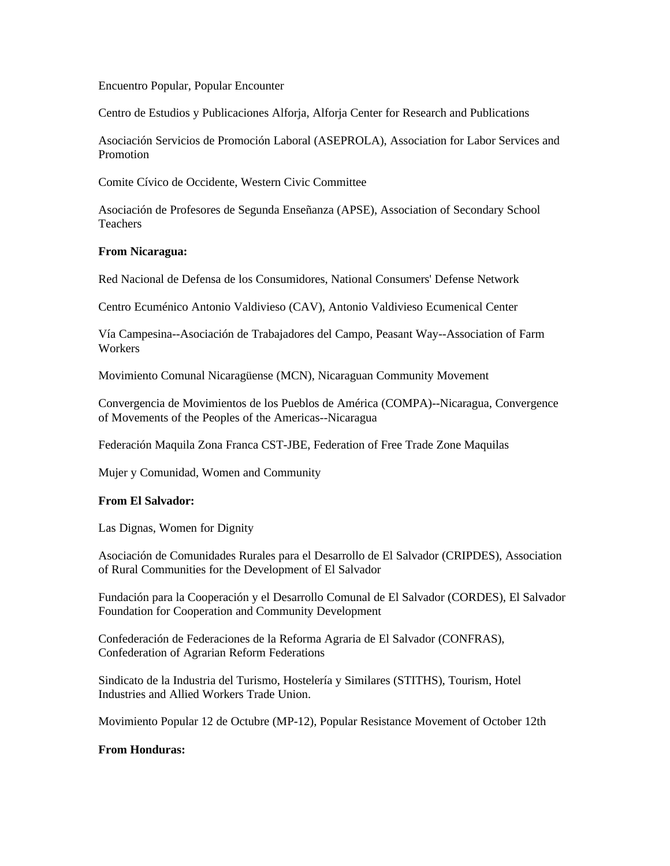#### Encuentro Popular, Popular Encounter

Centro de Estudios y Publicaciones Alforja, Alforja Center for Research and Publications

Asociación Servicios de Promoción Laboral (ASEPROLA), Association for Labor Services and Promotion

Comite Cívico de Occidente, Western Civic Committee

Asociación de Profesores de Segunda Enseñanza (APSE), Association of Secondary School Teachers

#### **From Nicaragua:**

Red Nacional de Defensa de los Consumidores, National Consumers' Defense Network

Centro Ecuménico Antonio Valdivieso (CAV), Antonio Valdivieso Ecumenical Center

Vía Campesina--Asociación de Trabajadores del Campo, Peasant Way--Association of Farm **Workers** 

Movimiento Comunal Nicaragüense (MCN), Nicaraguan Community Movement

Convergencia de Movimientos de los Pueblos de América (COMPA)--Nicaragua, Convergence of Movements of the Peoples of the Americas--Nicaragua

Federación Maquila Zona Franca CST-JBE, Federation of Free Trade Zone Maquilas

Mujer y Comunidad, Women and Community

## **From El Salvador:**

Las Dignas, Women for Dignity

Asociación de Comunidades Rurales para el Desarrollo de El Salvador (CRIPDES), Association of Rural Communities for the Development of El Salvador

Fundación para la Cooperación y el Desarrollo Comunal de El Salvador (CORDES), El Salvador Foundation for Cooperation and Community Development

Confederación de Federaciones de la Reforma Agraria de El Salvador (CONFRAS), Confederation of Agrarian Reform Federations

Sindicato de la Industria del Turismo, Hostelería y Similares (STITHS), Tourism, Hotel Industries and Allied Workers Trade Union.

Movimiento Popular 12 de Octubre (MP-12), Popular Resistance Movement of October 12th

## **From Honduras:**